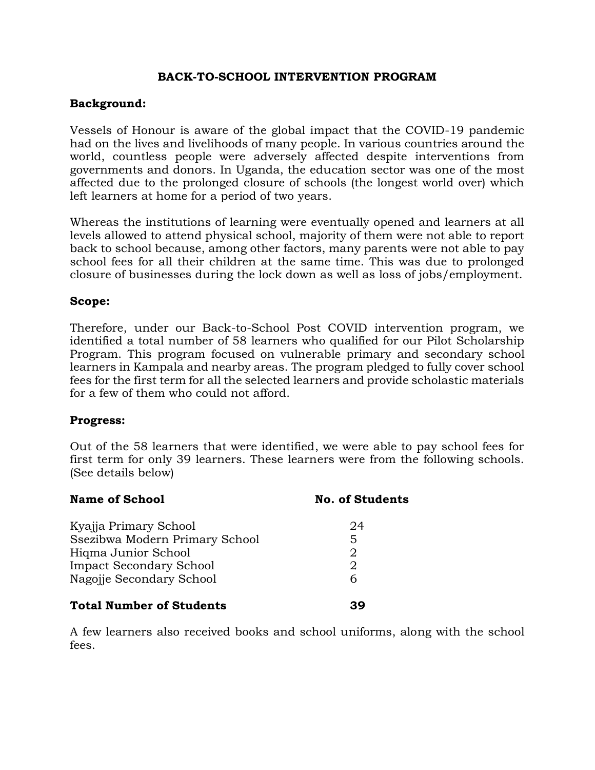# **BACK-TO-SCHOOL INTERVENTION PROGRAM**

## **Background:**

Vessels of Honour is aware of the global impact that the COVID-19 pandemic had on the lives and livelihoods of many people. In various countries around the world, countless people were adversely affected despite interventions from governments and donors. In Uganda, the education sector was one of the most affected due to the prolonged closure of schools (the longest world over) which left learners at home for a period of two years.

Whereas the institutions of learning were eventually opened and learners at all levels allowed to attend physical school, majority of them were not able to report back to school because, among other factors, many parents were not able to pay school fees for all their children at the same time. This was due to prolonged closure of businesses during the lock down as well as loss of jobs/employment.

#### **Scope:**

Therefore, under our Back-to-School Post COVID intervention program, we identified a total number of 58 learners who qualified for our Pilot Scholarship Program. This program focused on vulnerable primary and secondary school learners in Kampala and nearby areas. The program pledged to fully cover school fees for the first term for all the selected learners and provide scholastic materials for a few of them who could not afford.

### **Progress:**

Out of the 58 learners that were identified, we were able to pay school fees for first term for only 39 learners. These learners were from the following schools. (See details below)

| <b>Name of School</b>           | <b>No. of Students</b> |
|---------------------------------|------------------------|
| Kyajja Primary School           | 24                     |
| Ssezibwa Modern Primary School  | 5.                     |
| Higma Junior School             | 2                      |
| <b>Impact Secondary School</b>  | 2                      |
| Nagojie Secondary School        | 6                      |
| <b>Total Number of Students</b> |                        |

A few learners also received books and school uniforms, along with the school fees.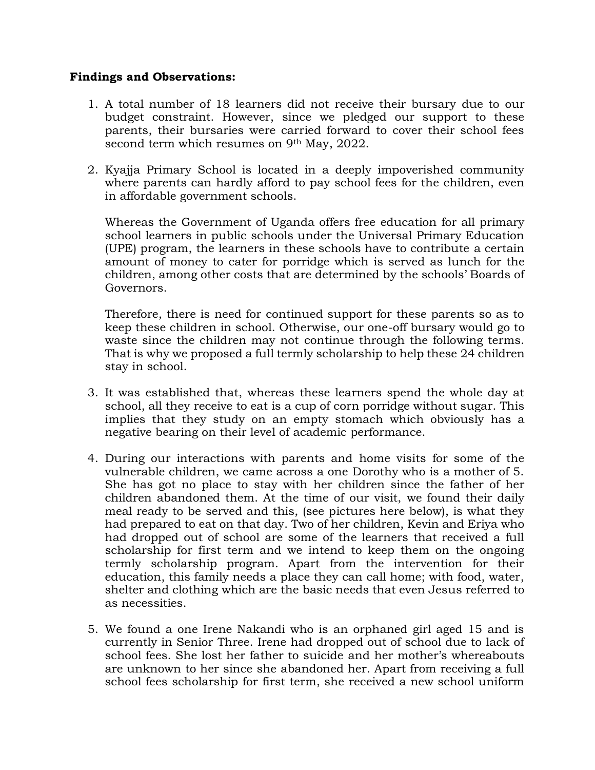### **Findings and Observations:**

- 1. A total number of 18 learners did not receive their bursary due to our budget constraint. However, since we pledged our support to these parents, their bursaries were carried forward to cover their school fees second term which resumes on 9<sup>th</sup> May, 2022.
- 2. Kyajja Primary School is located in a deeply impoverished community where parents can hardly afford to pay school fees for the children, even in affordable government schools.

Whereas the Government of Uganda offers free education for all primary school learners in public schools under the Universal Primary Education (UPE) program, the learners in these schools have to contribute a certain amount of money to cater for porridge which is served as lunch for the children, among other costs that are determined by the schools' Boards of Governors.

Therefore, there is need for continued support for these parents so as to keep these children in school. Otherwise, our one-off bursary would go to waste since the children may not continue through the following terms. That is why we proposed a full termly scholarship to help these 24 children stay in school.

- 3. It was established that, whereas these learners spend the whole day at school, all they receive to eat is a cup of corn porridge without sugar. This implies that they study on an empty stomach which obviously has a negative bearing on their level of academic performance.
- 4. During our interactions with parents and home visits for some of the vulnerable children, we came across a one Dorothy who is a mother of 5. She has got no place to stay with her children since the father of her children abandoned them. At the time of our visit, we found their daily meal ready to be served and this, (see pictures here below), is what they had prepared to eat on that day. Two of her children, Kevin and Eriya who had dropped out of school are some of the learners that received a full scholarship for first term and we intend to keep them on the ongoing termly scholarship program. Apart from the intervention for their education, this family needs a place they can call home; with food, water, shelter and clothing which are the basic needs that even Jesus referred to as necessities.
- 5. We found a one Irene Nakandi who is an orphaned girl aged 15 and is currently in Senior Three. Irene had dropped out of school due to lack of school fees. She lost her father to suicide and her mother's whereabouts are unknown to her since she abandoned her. Apart from receiving a full school fees scholarship for first term, she received a new school uniform